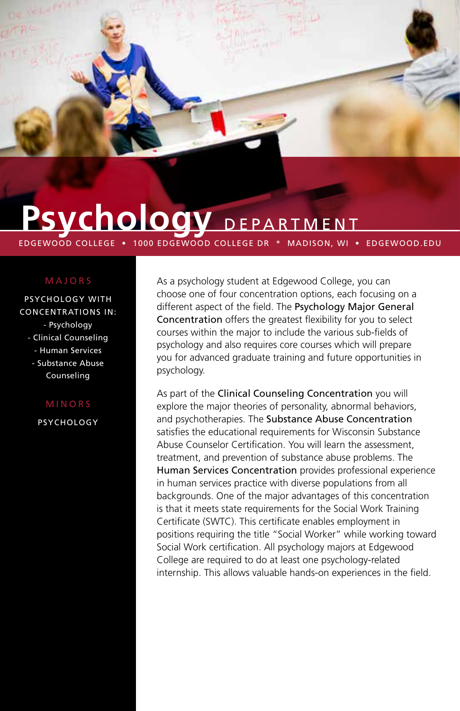

# Psychology DEPARTMENT

EDGEWOOD COLLEGE • 1000 EDGEWOOD COLLEGE DR \* MADISON, WI • EDGEWOOD.EDU

## MAJORS

PSYCHOLOGY WITH CONCENTRATIONS IN: - Psychology - Clinical Counseling - Human Services - Substance Abuse Counseling

#### MINORS

**PSYCHOLOGY** 

As a psychology student at Edgewood College, you can choose one of four concentration options, each focusing on a different aspect of the field. The Psychology Major General Concentration offers the greatest flexibility for you to select courses within the major to include the various sub-fields of psychology and also requires core courses which will prepare you for advanced graduate training and future opportunities in psychology.

As part of the Clinical Counseling Concentration you will explore the major theories of personality, abnormal behaviors, and psychotherapies. The Substance Abuse Concentration satisfies the educational requirements for Wisconsin Substance Abuse Counselor Certification. You will learn the assessment, treatment, and prevention of substance abuse problems. The Human Services Concentration provides professional experience in human services practice with diverse populations from all backgrounds. One of the major advantages of this concentration is that it meets state requirements for the Social Work Training Certificate (SWTC). This certificate enables employment in positions requiring the title "Social Worker" while working toward Social Work certification. All psychology majors at Edgewood College are required to do at least one psychology-related internship. This allows valuable hands-on experiences in the field.